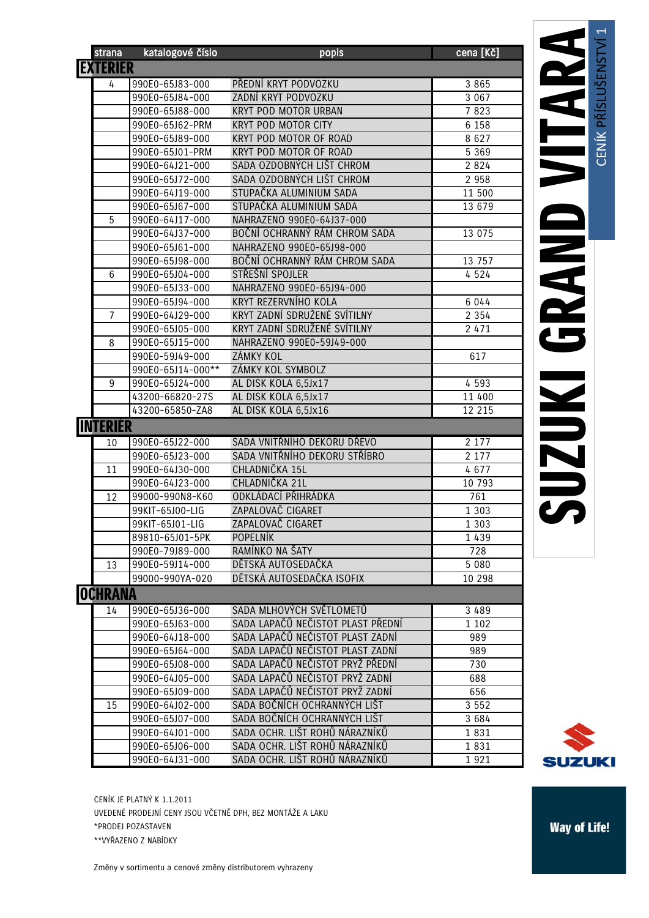| strana          | katalogové číslo  | popis                             | cena [Kč] |
|-----------------|-------------------|-----------------------------------|-----------|
| <b>EXTERIER</b> |                   |                                   |           |
| 4               | 990E0-65J83-000   | PŘEDNÍ KRYT PODVOZKU              | 3 8 6 5   |
|                 | 990E0-65J84-000   | ZADNÍ KRYT PODVOZKU               | 3 0 6 7   |
|                 | 990E0-65J88-000   | KRYT POD MOTOR URBAN              | 7823      |
|                 | 990E0-65J62-PRM   | <b>KRYT POD MOTOR CITY</b>        | 6 1 5 8   |
|                 | 990E0-65J89-000   | KRYT POD MOTOR OF ROAD            | 8 6 2 7   |
|                 | 990E0-65J01-PRM   | KRYT POD MOTOR OF ROAD            | 5 3 6 9   |
|                 | 990E0-64J21-000   | SADA OZDOBNÝCH LIŠT CHROM         | 2 8 2 4   |
|                 | 990E0-65J72-000   | SADA OZDOBNÝCH LIŠT CHROM         | 2 9 5 8   |
|                 | 990E0-64J19-000   | STUPAČKA ALUMINIUM SADA           | 11 500    |
|                 | 990E0-65J67-000   | STUPAČKA ALUMINIUM SADA           | 13 679    |
| 5               | 990E0-64J17-000   | NAHRAZENO 990E0-64J37-000         |           |
|                 | 990E0-64J37-000   | BOČNÍ OCHRANNÝ RÁM CHROM SADA     | 13 0 75   |
|                 | 990E0-65J61-000   | NAHRAZENO 990E0-65J98-000         |           |
|                 | 990E0-65J98-000   | BOČNÍ OCHRANNÝ RÁM CHROM SADA     | 13 757    |
| 6               | 990E0-65J04-000   | STŘEŠNÍ SPOJLER                   | 4524      |
|                 | 990E0-65J33-000   | NAHRAZENO 990E0-65J94-000         |           |
|                 | 990E0-65J94-000   | KRYT REZERVNÍHO KOLA              | 6 0 4 4   |
| 7               | 990E0-64J29-000   | KRYT ZADNÍ SDRUŽENÉ SVÍTILNY      | 2 3 5 4   |
|                 | 990E0-65J05-000   | KRYT ZADNÍ SDRUŽENÉ SVÍTILNY      | 2 4 7 1   |
| 8               | 990E0-65J15-000   | NAHRAZENO 990E0-59J49-000         |           |
|                 | 990E0-59J49-000   | <b>ZÁMKY KOL</b>                  | 617       |
|                 | 990E0-65J14-000** | ZÁMKY KOL SYMBOLZ                 |           |
| 9               | 990E0-65J24-000   | AL DISK KOLA 6,5Jx17              | 4 5 9 3   |
|                 | 43200-66820-27S   | AL DISK KOLA 6,5Jx17              | 11 400    |
|                 | 43200-65850-ZA8   | AL DISK KOLA 6,5Jx16              | 12 215    |
| <b>INTERIÉR</b> |                   |                                   |           |
| 10              | 990E0-65J22-000   | SADA VNITŘNÍHO DEKORU DŘEVO       | 2 1 7 7   |
|                 | 990E0-65J23-000   | SADA VNITŘNÍHO DEKORU STŘÍBRO     | 2 1 7 7   |
| 11              | 990E0-64J30-000   | CHLADNIČKA 15L                    | 4677      |
|                 | 990E0-64J23-000   | CHLADNIČKA 21L                    | 10 793    |
| 12              | 99000-990N8-K60   | ODKLÁDACÍ PŘIHRÁDKA               | 761       |
|                 | 99KIT-65J00-LIG   | ZAPALOVAČ CIGARET                 | 1 3 0 3   |
|                 | 99KIT-65J01-LIG   | ZAPALOVAČ CIGARET                 | 1 3 0 3   |
|                 | 89810-65J01-5PK   | <b>POPELNÍK</b>                   | 1439      |
|                 | 990E0-79J89-000   | RAMÍNKO NA ŠATY                   | 728       |
| 13              | 990E0-59J14-000   | DĚTSKÁ AUTOSEDAČKA                | 5 0 8 0   |
|                 | 99000-990YA-020   | DĚTSKÁ AUTOSEDAČKA ISOFIX         | 10 298    |
| <b>OCHRANA</b>  |                   |                                   |           |
| 14              | 990E0-65J36-000   | SADA MLHOVÝCH SVĚTLOMETŮ          | 3 4 8 9   |
|                 | 990E0-65J63-000   | SADA LAPAČŮ NEČISTOT PLAST PŘEDNÍ | 1 1 0 2   |
|                 | 990E0-64J18-000   | SADA LAPAČŮ NEČISTOT PLAST ZADNÍ  | 989       |
|                 | 990E0-65J64-000   | SADA LAPAČŮ NEČISTOT PLAST ZADNÍ  | 989       |
|                 | 990E0-65J08-000   | SADA LAPAČŮ NEČISTOT PRYŽ PŘEDNÍ  | 730       |
|                 | 990E0-64J05-000   | SADA LAPAČŮ NEČISTOT PRYŽ ZADNÍ   | 688       |
|                 | 990E0-65J09-000   | SADA LAPAČŮ NEČISTOT PRYŽ ZADNÍ   | 656       |
| 15              | 990E0-64J02-000   | SADA BOČNÍCH OCHRANNÝCH LIŠT      | 3 5 5 2   |
|                 | 990E0-65J07-000   | SADA BOČNÍCH OCHRANNÝCH LIŠT      | 3 684     |
|                 | 990E0-64J01-000   | SADA OCHR. LIŠT ROHŮ NÁRAZNÍKŮ    | 1831      |
|                 | 990E0-65J06-000   | SADA OCHR. LIŠT ROHŮ NÁRAZNÍKŮ    | 1831      |
|                 | 990E0-64J31-000   | SADA OCHR. LIŠT ROHŮ NÁRAZNÍKŮ    | 1921      |
|                 |                   |                                   |           |

 $\overline{\phantom{0}}$ 



CENÍK JE PLATNÝ K 1.1.2011 UVEDENÉ PRODEJNÍ CENY JSOU VČETNĚ DPH, BEZ MONTÁŽE A LAKU \*PRODEJ POZASTAVEN

\*\*VYŘAZENO Z NABÍDKY

Změny v sortimentu a cenové změny distributorem vyhrazeny

**Way of Life!**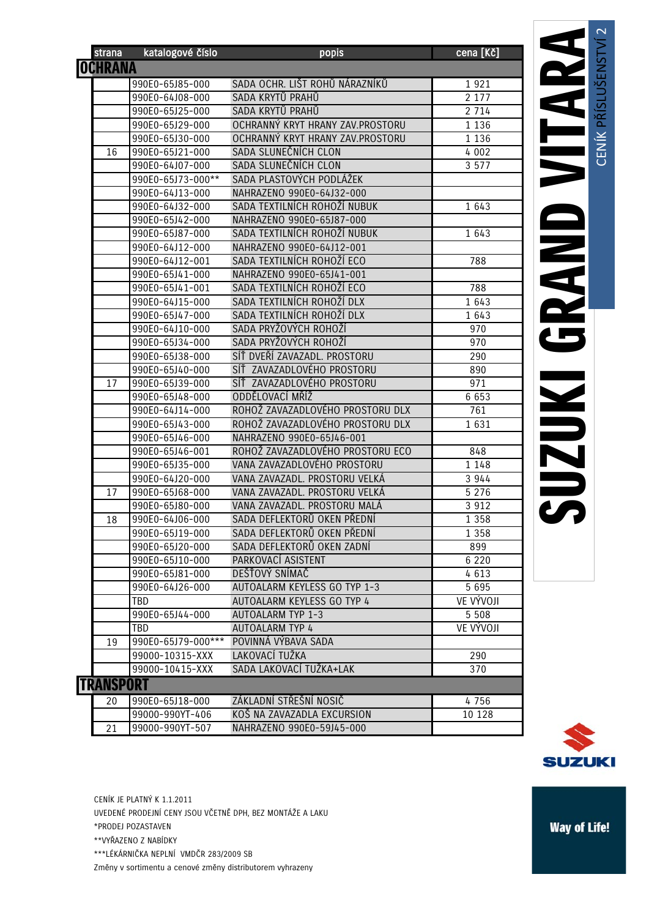|                  | strana         | katalogové číslo   | popis                            | cena [Kč] |
|------------------|----------------|--------------------|----------------------------------|-----------|
|                  | <b>OCHRANA</b> |                    |                                  |           |
|                  |                | 990E0-65J85-000    | SADA OCHR. LIŠT ROHŮ NÁRAZNÍKŮ   | 1921      |
|                  |                | 990E0-64J08-000    | SADA KRYTŮ PRAHŮ                 | 2 1 7 7   |
|                  |                | 990E0-65J25-000    | SADA KRYTŮ PRAHŮ                 | 2 7 1 4   |
|                  |                | 990E0-65J29-000    | OCHRANNÝ KRYT HRANY ZAV.PROSTORU | 1 1 3 6   |
|                  |                | 990E0-65J30-000    | OCHRANNÝ KRYT HRANY ZAV.PROSTORU | 1 1 3 6   |
|                  | 16             | 990E0-65J21-000    | SADA SLUNEČNÍCH CLON             | 4 0 0 2   |
|                  |                | 990E0-64J07-000    | SADA SLUNEČNÍCH CLON             | 3 5 7 7   |
|                  |                | 990E0-65J73-000**  | SADA PLASTOVÝCH PODLÁŽEK         |           |
|                  |                | 990E0-64J13-000    | NAHRAZENO 990E0-64J32-000        |           |
|                  |                | 990E0-64J32-000    | SADA TEXTILNÍCH ROHOŽÍ NUBUK     | 1 643     |
|                  |                | 990E0-65J42-000    | NAHRAZENO 990E0-65J87-000        |           |
|                  |                | 990E0-65J87-000    | SADA TEXTILNÍCH ROHOŽÍ NUBUK     | 1 643     |
|                  |                | 990E0-64J12-000    | NAHRAZENO 990E0-64J12-001        |           |
|                  |                | 990E0-64J12-001    | SADA TEXTILNÍCH ROHOŽÍ ECO       | 788       |
|                  |                | 990E0-65J41-000    | NAHRAZENO 990E0-65J41-001        |           |
|                  |                | 990E0-65J41-001    | SADA TEXTILNÍCH ROHOŽÍ ECO       | 788       |
|                  |                | 990E0-64J15-000    | SADA TEXTILNÍCH ROHOŽÍ DLX       | 1 643     |
|                  |                | 990E0-65J47-000    | SADA TEXTILNÍCH ROHOŽÍ DLX       | 1 643     |
|                  |                | 990E0-64J10-000    | SADA PRYŽOVÝCH ROHOŽÍ            | 970       |
|                  |                | 990E0-65J34-000    | SADA PRYŽOVÝCH ROHOŽÍ            | 970       |
|                  |                | 990E0-65J38-000    | SÍŤ DVEŘÍ ZAVAZADL. PROSTORU     | 290       |
|                  |                | 990E0-65J40-000    | SÍŤ ZAVAZADLOVÉHO PROSTORU       | 890       |
|                  | 17             | 990E0-65J39-000    | SÍŤ ZAVAZADLOVÉHO PROSTORU       | 971       |
|                  |                | 990E0-65J48-000    | ODDĚLOVACÍ MŘÍŽ                  | 6 6 5 3   |
|                  |                | 990E0-64J14-000    | ROHOŽ ZAVAZADLOVÉHO PROSTORU DLX | 761       |
|                  |                | 990E0-65J43-000    | ROHOŽ ZAVAZADLOVÉHO PROSTORU DLX | 1631      |
|                  |                | 990E0-65J46-000    | NAHRAZENO 990E0-65J46-001        |           |
|                  |                | 990E0-65J46-001    | ROHOŽ ZAVAZADLOVÉHO PROSTORU ECO | 848       |
|                  |                | 990E0-65J35-000    | VANA ZAVAZADLOVÉHO PROSTORU      | 1 148     |
|                  |                | 990E0-64J20-000    | VANA ZAVAZADL. PROSTORU VELKÁ    | 3 944     |
|                  | 17             | 990E0-65J68-000    | VANA ZAVAZADL. PROSTORU VELKÁ    | 5 2 7 6   |
|                  |                | 990E0-65J80-000    | VANA ZAVAZADL. PROSTORU MALÁ     | 3 9 1 2   |
|                  | 18             | 990E0-64J06-000    | SADA DEFLEKTORŮ OKEN PŘEDNÍ      | 1 3 5 8   |
|                  |                | 990E0-65J19-000    | SADA DEFLEKTORŮ OKEN PŘEDNÍ      | 1 3 5 8   |
|                  |                | 990E0-65J20-000    | SADA DEFLEKTORŮ OKEN ZADNÍ       | 899       |
|                  |                | 990E0-65J10-000    | PARKOVACÍ ASISTENT               | 6 2 2 0   |
|                  |                | 990E0-65J81-000    | DEŠŤOVÝ SNÍMAČ                   | 4613      |
|                  |                | 990E0-64J26-000    | AUTOALARM KEYLESS GO TYP 1-3     | 5 6 9 5   |
|                  |                | <b>TBD</b>         | AUTOALARM KEYLESS GO TYP 4       | VE VÝVOJI |
|                  |                | 990E0-65J44-000    | AUTOALARM TYP 1-3                | 5 5 0 8   |
|                  |                | TBD                | <b>AUTOALARM TYP 4</b>           | VE VÝVOJI |
|                  | 19             | 990E0-65J79-000*** | POVINNÁ VÝBAVA SADA              |           |
|                  |                | 99000-10315-XXX    | LAKOVACÍ TUŽKA                   | 290       |
|                  |                | 99000-10415-XXX    | SADA LAKOVACÍ TUŽKA+LAK          | 370       |
| <b>TRANSPORT</b> |                |                    |                                  |           |
|                  | 20             | 990E0-65J18-000    | ZÁKLADNÍ STŘEŠNÍ NOSIČ           | 4756      |
|                  |                | 99000-990YT-406    | KOŠ NA ZAVAZADLA EXCURSION       | 10 128    |
|                  | 21             | 99000-990YT-507    | NAHRAZENO 990E0-59J45-000        |           |



CENÍK JE PLATNÝ K 1.1.2011 UVEDENÉ PRODEJNÍ CENY JSOU VČETNĚ DPH, BEZ MONTÁŽE A LAKU \*PRODEJ POZASTAVEN \*\*VYŘAZENO Z NABÍDKY \*\*\*LÉKÁRNIČKA NEPLNÍ VMDČR 283/2009 SB

Změny v sortimentu a cenové změny distributorem vyhrazeny

**Way of Life!**